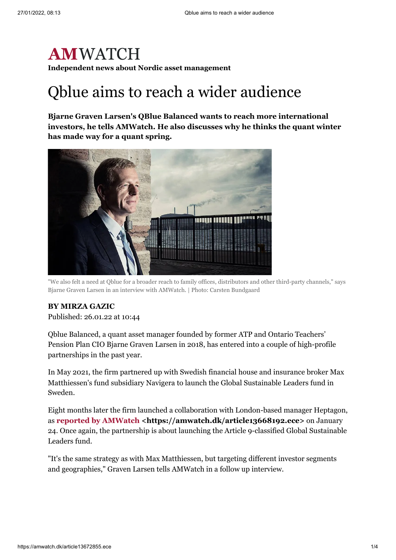## **AMWATCH Independent news about Nordic asset management**

# Qblue aims to reach a wider audience

**Bjarne Graven Larsen's QBlue Balanced wants to reach more international investors, he tells AMWatch. He also discusses why he thinks the quant winter has made way for a quant spring.**



"We also felt a need at Qblue for a broader reach to family offices, distributors and other third-party channels," says Bjarne Graven Larsen in an interview with AMWatch. | Photo: Carsten Bundgaard

#### **BY [MIRZA](mailto:mirza.gazic@watchmedier.dk) GAZIC**

Published: 26.01.22 at 10:44

Qblue Balanced, a quant asset manager founded by former ATP and Ontario Teachers' Pension Plan CIO Bjarne Graven Larsen in 2018, has entered into a couple of high-profile partnerships in the past year.

In May 2021, the firm partnered up with Swedish financial house and insurance broker Max Matthiessen's fund subsidiary Navigera to launch the Global Sustainable Leaders fund in Sweden.

Eight months later the firm launched a collaboration with London-based manager Heptagon, as **reported by AMWatch [<https://amwatch.dk/article13668192.ece>](https://amwatch.dk/article13668192.ece)** on January 24. Once again, the partnership is about launching the Article 9-classified Global Sustainable Leaders fund.

"It's the same strategy as with Max Matthiessen, but targeting different investor segments and geographies," Graven Larsen tells AMWatch in a follow up interview.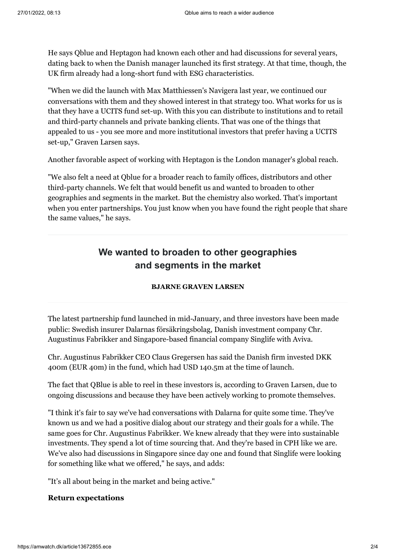He says Qblue and Heptagon had known each other and had discussions for several years, dating back to when the Danish manager launched its first strategy. At that time, though, the UK firm already had a long-short fund with ESG characteristics.

"When we did the launch with Max Matthiessen's Navigera last year, we continued our conversations with them and they showed interest in that strategy too. What works for us is that they have a UCITS fund set-up. With this you can distribute to institutions and to retail and third-party channels and private banking clients. That was one of the things that appealed to us - you see more and more institutional investors that prefer having a UCITS set-up," Graven Larsen says.

Another favorable aspect of working with Heptagon is the London manager's global reach.

"We also felt a need at Qblue for a broader reach to family offices, distributors and other third-party channels. We felt that would benefit us and wanted to broaden to other geographies and segments in the market. But the chemistry also worked. That's important when you enter partnerships. You just know when you have found the right people that share the same values," he says.

### **We wanted to broaden to other geographies and segments in the market**

#### **BJARNE GRAVEN LARSEN**

The latest partnership fund launched in mid-January, and three investors have been made public: Swedish insurer Dalarnas försäkringsbolag, Danish investment company Chr. Augustinus Fabrikker and Singapore-based financial company Singlife with Aviva.

Chr. Augustinus Fabrikker CEO Claus Gregersen has said the Danish firm invested DKK 400m (EUR 40m) in the fund, which had USD 140.5m at the time of launch.

The fact that QBlue is able to reel in these investors is, according to Graven Larsen, due to ongoing discussions and because they have been actively working to promote themselves.

"I think it's fair to say we've had conversations with Dalarna for quite some time. They've known us and we had a positive dialog about our strategy and their goals for a while. The same goes for Chr. Augustinus Fabrikker. We knew already that they were into sustainable investments. They spend a lot of time sourcing that. And they're based in CPH like we are. We've also had discussions in Singapore since day one and found that Singlife were looking for something like what we offered," he says, and adds:

"It's all about being in the market and being active."

#### **Return expectations**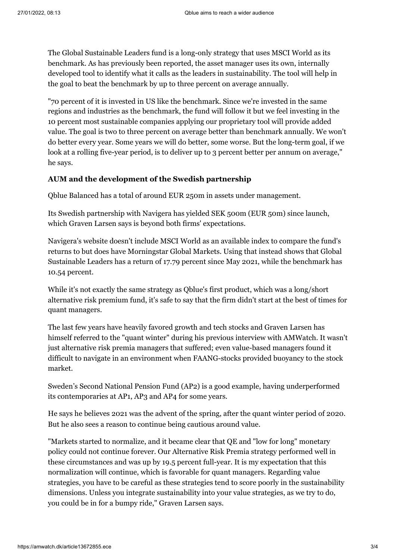The Global Sustainable Leaders fund is a long-only strategy that uses MSCI World as its benchmark. As has previously been reported, the asset manager uses its own, internally developed tool to identify what it calls as the leaders in sustainability. The tool will help in the goal to beat the benchmark by up to three percent on average annually.

"70 percent of it is invested in US like the benchmark. Since we're invested in the same regions and industries as the benchmark, the fund will follow it but we feel investing in the 10 percent most sustainable companies applying our proprietary tool will provide added value. The goal is two to three percent on average better than benchmark annually. We won't do better every year. Some years we will do better, some worse. But the long-term goal, if we look at a rolling five-year period, is to deliver up to 3 percent better per annum on average," he says.

#### **AUM and the development of the Swedish partnership**

Qblue Balanced has a total of around EUR 250m in assets under management.

Its Swedish partnership with Navigera has yielded SEK 500m (EUR 50m) since launch, which Graven Larsen says is beyond both firms' expectations.

Navigera's website doesn't include MSCI World as an available index to compare the fund's returns to but does have Morningstar Global Markets. Using that instead shows that Global Sustainable Leaders has a return of 17.79 percent since May 2021, while the benchmark has 10.54 percent.

While it's not exactly the same strategy as Qblue's first product, which was a long/short alternative risk premium fund, it's safe to say that the firm didn't start at the best of times for quant managers.

The last few years have heavily favored growth and tech stocks and Graven Larsen has himself referred to the "quant winter" during his previous interview with AMWatch. It wasn't just alternative risk premia managers that suffered; even value-based managers found it difficult to navigate in an environment when FAANG-stocks provided buoyancy to the stock market.

Sweden's Second National Pension Fund (AP2) is a good example, having underperformed its contemporaries at AP1, AP3 and AP4 for some years.

He says he believes 2021 was the advent of the spring, after the quant winter period of 2020. But he also sees a reason to continue being cautious around value.

"Markets started to normalize, and it became clear that QE and "low for long" monetary policy could not continue forever. Our Alternative Risk Premia strategy performed well in these circumstances and was up by 19.5 percent full-year. It is my expectation that this normalization will continue, which is favorable for quant managers. Regarding value strategies, you have to be careful as these strategies tend to score poorly in the sustainability dimensions. Unless you integrate sustainability into your value strategies, as we try to do, you could be in for a bumpy ride," Graven Larsen says.